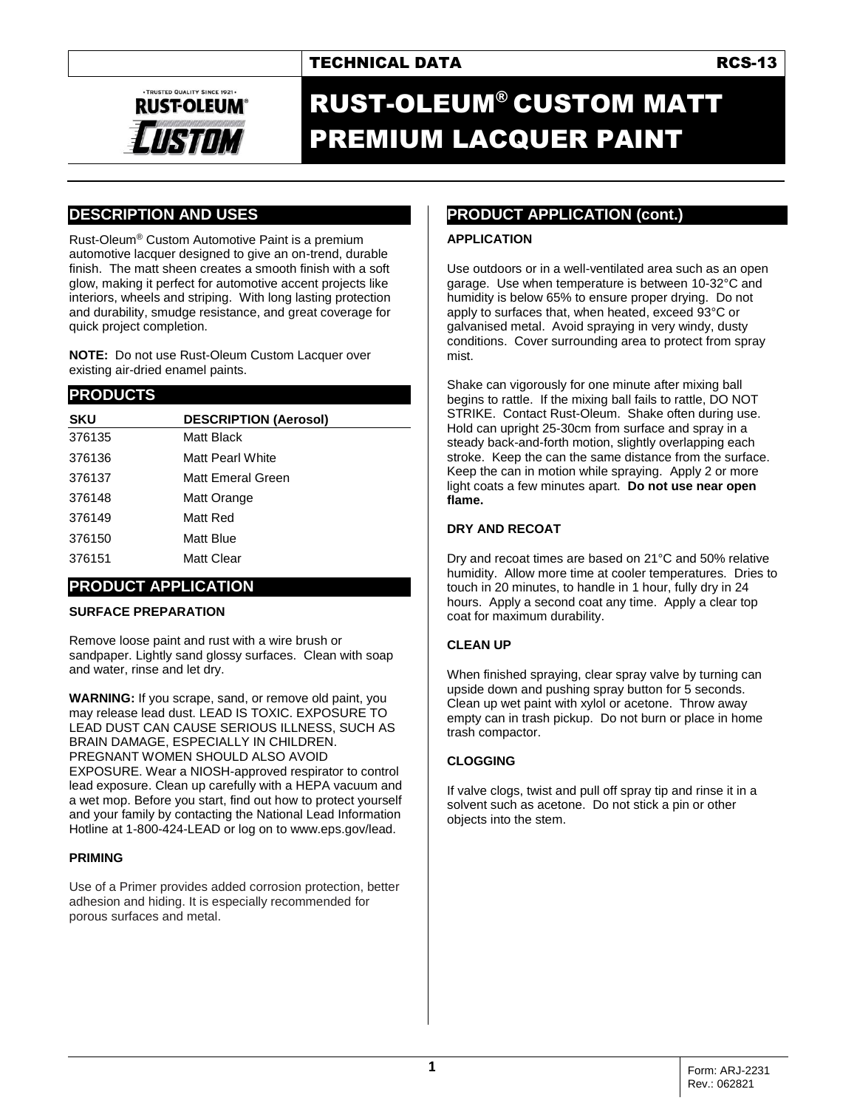# TECHNICAL DATA **RCS-13**



# RUST-OLEUM® CUSTOM MATT PREMIUM LACQUER PAINT

# **DESCRIPTION AND USES**

Rust-Oleum® Custom Automotive Paint is a premium automotive lacquer designed to give an on-trend, durable finish. The matt sheen creates a smooth finish with a soft glow, making it perfect for automotive accent projects like interiors, wheels and striping. With long lasting protection and durability, smudge resistance, and great coverage for quick project completion.

**NOTE:** Do not use Rust-Oleum Custom Lacquer over existing air-dried enamel paints.

### **PRODUCTS**

| <b>SKU</b> | <b>DESCRIPTION (Aerosol)</b> |
|------------|------------------------------|
| 376135     | Matt Black                   |
| 376136     | Matt Pearl White             |
| 376137     | Matt Emeral Green            |
| 376148     | Matt Orange                  |
| 376149     | Matt Red                     |
| 376150     | Matt Blue                    |
| 376151     | Matt Clear                   |
|            |                              |

### **PRODUCT APPLICATION**

#### **SURFACE PREPARATION**

Remove loose paint and rust with a wire brush or sandpaper. Lightly sand glossy surfaces. Clean with soap and water, rinse and let dry.

**WARNING:** If you scrape, sand, or remove old paint, you may release lead dust. LEAD IS TOXIC. EXPOSURE TO LEAD DUST CAN CAUSE SERIOUS ILLNESS, SUCH AS BRAIN DAMAGE, ESPECIALLY IN CHILDREN. PREGNANT WOMEN SHOULD ALSO AVOID EXPOSURE. Wear a NIOSH-approved respirator to control lead exposure. Clean up carefully with a HEPA vacuum and a wet mop. Before you start, find out how to protect yourself and your family by contacting the National Lead Information Hotline at 1-800-424-LEAD or log on to www.eps.gov/lead.

#### **PRIMING**

Use of a Primer provides added corrosion protection, better adhesion and hiding. It is especially recommended for porous surfaces and metal.

# **PRODUCT APPLICATION (cont.)**

#### **APPLICATION**

Use outdoors or in a well-ventilated area such as an open garage. Use when temperature is between 10-32°C and humidity is below 65% to ensure proper drying. Do not apply to surfaces that, when heated, exceed 93°C or galvanised metal. Avoid spraying in very windy, dusty conditions. Cover surrounding area to protect from spray mist.

Shake can vigorously for one minute after mixing ball begins to rattle. If the mixing ball fails to rattle, DO NOT STRIKE. Contact Rust-Oleum. Shake often during use. Hold can upright 25-30cm from surface and spray in a steady back-and-forth motion, slightly overlapping each stroke. Keep the can the same distance from the surface. Keep the can in motion while spraying. Apply 2 or more light coats a few minutes apart. **Do not use near open flame.**

#### **DRY AND RECOAT**

Dry and recoat times are based on 21°C and 50% relative humidity. Allow more time at cooler temperatures. Dries to touch in 20 minutes, to handle in 1 hour, fully dry in 24 hours. Apply a second coat any time. Apply a clear top coat for maximum durability.

### **CLEAN UP**

When finished spraying, clear spray valve by turning can upside down and pushing spray button for 5 seconds. Clean up wet paint with xylol or acetone. Throw away empty can in trash pickup. Do not burn or place in home trash compactor.

### **CLOGGING**

If valve clogs, twist and pull off spray tip and rinse it in a solvent such as acetone. Do not stick a pin or other objects into the stem.